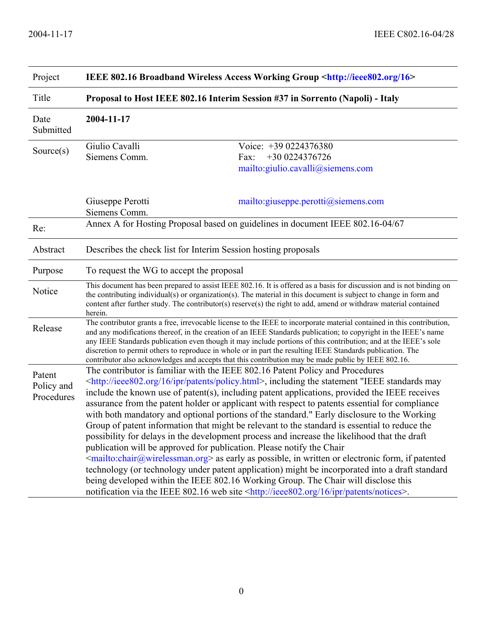| Project                            | IEEE 802.16 Broadband Wireless Access Working Group <http: 16="" ieee802.org=""></http:>                                                                                                                                                                                                                                                                                                                                                                                                                                                                                                                                                                                                                                                                                                                                                                                                                                                                                                                                                                                                                                                                                                                                             |                                                                                      |  |
|------------------------------------|--------------------------------------------------------------------------------------------------------------------------------------------------------------------------------------------------------------------------------------------------------------------------------------------------------------------------------------------------------------------------------------------------------------------------------------------------------------------------------------------------------------------------------------------------------------------------------------------------------------------------------------------------------------------------------------------------------------------------------------------------------------------------------------------------------------------------------------------------------------------------------------------------------------------------------------------------------------------------------------------------------------------------------------------------------------------------------------------------------------------------------------------------------------------------------------------------------------------------------------|--------------------------------------------------------------------------------------|--|
| Title                              | Proposal to Host IEEE 802.16 Interim Session #37 in Sorrento (Napoli) - Italy                                                                                                                                                                                                                                                                                                                                                                                                                                                                                                                                                                                                                                                                                                                                                                                                                                                                                                                                                                                                                                                                                                                                                        |                                                                                      |  |
| Date<br>Submitted                  | 2004-11-17                                                                                                                                                                                                                                                                                                                                                                                                                                                                                                                                                                                                                                                                                                                                                                                                                                                                                                                                                                                                                                                                                                                                                                                                                           |                                                                                      |  |
| Source $(s)$                       | Giulio Cavalli<br>Siemens Comm.                                                                                                                                                                                                                                                                                                                                                                                                                                                                                                                                                                                                                                                                                                                                                                                                                                                                                                                                                                                                                                                                                                                                                                                                      | Voice: +39 0224376380<br>+30 0224376726<br>Fax:<br>mailto:giulio.cavalli@siemens.com |  |
|                                    | Giuseppe Perotti<br>Siemens Comm.                                                                                                                                                                                                                                                                                                                                                                                                                                                                                                                                                                                                                                                                                                                                                                                                                                                                                                                                                                                                                                                                                                                                                                                                    | mailto: giuseppe.perotti@siemens.com                                                 |  |
| Re:                                | Annex A for Hosting Proposal based on guidelines in document IEEE 802.16-04/67                                                                                                                                                                                                                                                                                                                                                                                                                                                                                                                                                                                                                                                                                                                                                                                                                                                                                                                                                                                                                                                                                                                                                       |                                                                                      |  |
| Abstract                           | Describes the check list for Interim Session hosting proposals                                                                                                                                                                                                                                                                                                                                                                                                                                                                                                                                                                                                                                                                                                                                                                                                                                                                                                                                                                                                                                                                                                                                                                       |                                                                                      |  |
| Purpose                            | To request the WG to accept the proposal                                                                                                                                                                                                                                                                                                                                                                                                                                                                                                                                                                                                                                                                                                                                                                                                                                                                                                                                                                                                                                                                                                                                                                                             |                                                                                      |  |
| Notice                             | This document has been prepared to assist IEEE 802.16. It is offered as a basis for discussion and is not binding on<br>the contributing individual(s) or organization(s). The material in this document is subject to change in form and<br>content after further study. The contributor(s) reserve(s) the right to add, amend or withdraw material contained<br>herein.                                                                                                                                                                                                                                                                                                                                                                                                                                                                                                                                                                                                                                                                                                                                                                                                                                                            |                                                                                      |  |
| Release                            | The contributor grants a free, irrevocable license to the IEEE to incorporate material contained in this contribution,<br>and any modifications thereof, in the creation of an IEEE Standards publication; to copyright in the IEEE's name<br>any IEEE Standards publication even though it may include portions of this contribution; and at the IEEE's sole<br>discretion to permit others to reproduce in whole or in part the resulting IEEE Standards publication. The<br>contributor also acknowledges and accepts that this contribution may be made public by IEEE 802.16.                                                                                                                                                                                                                                                                                                                                                                                                                                                                                                                                                                                                                                                   |                                                                                      |  |
| Patent<br>Policy and<br>Procedures | The contributor is familiar with the IEEE 802.16 Patent Policy and Procedures<br><http: 16="" ieee802.org="" ipr="" patents="" policy.html="">, including the statement "IEEE standards may<br/>include the known use of patent(s), including patent applications, provided the IEEE receives<br/>assurance from the patent holder or applicant with respect to patents essential for compliance<br/>with both mandatory and optional portions of the standard." Early disclosure to the Working<br/>Group of patent information that might be relevant to the standard is essential to reduce the<br/>possibility for delays in the development process and increase the likelihood that the draft<br/>publication will be approved for publication. Please notify the Chair<br/><mailto:chair@wirelessman.org> as early as possible, in written or electronic form, if patented<br/>technology (or technology under patent application) might be incorporated into a draft standard<br/>being developed within the IEEE 802.16 Working Group. The Chair will disclose this<br/>notification via the IEEE 802.16 web site <http: 16="" ieee802.org="" ipr="" notices="" patents="">.</http:></mailto:chair@wirelessman.org></http:> |                                                                                      |  |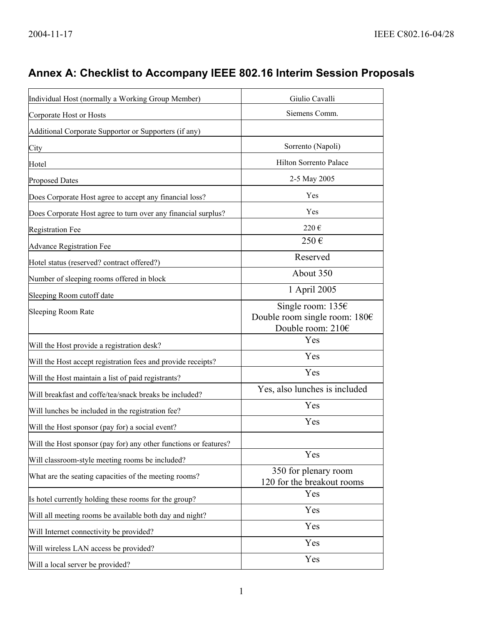## **Annex A: Checklist to Accompany IEEE 802.16 Interim Session Proposals**

| Individual Host (normally a Working Group Member)                | Giulio Cavalli                                                                 |
|------------------------------------------------------------------|--------------------------------------------------------------------------------|
| Corporate Host or Hosts                                          | Siemens Comm.                                                                  |
| Additional Corporate Supportor or Supporters (if any)            |                                                                                |
| City                                                             | Sorrento (Napoli)                                                              |
| Hotel                                                            | Hilton Sorrento Palace                                                         |
| <b>Proposed Dates</b>                                            | 2-5 May 2005                                                                   |
| Does Corporate Host agree to accept any financial loss?          | Yes                                                                            |
| Does Corporate Host agree to turn over any financial surplus?    | Yes                                                                            |
| <b>Registration Fee</b>                                          | 220€                                                                           |
| <b>Advance Registration Fee</b>                                  | 250€                                                                           |
| Hotel status (reserved? contract offered?)                       | Reserved                                                                       |
| Number of sleeping rooms offered in block                        | About 350                                                                      |
| Sleeping Room cutoff date                                        | 1 April 2005                                                                   |
| <b>Sleeping Room Rate</b>                                        | Single room: $1356$<br>Double room single room: $180 \in$<br>Double room: 210€ |
| Will the Host provide a registration desk?                       | Yes                                                                            |
| Will the Host accept registration fees and provide receipts?     | Yes                                                                            |
| Will the Host maintain a list of paid registrants?               | Yes                                                                            |
| Will breakfast and coffe/tea/snack breaks be included?           | Yes, also lunches is included                                                  |
| Will lunches be included in the registration fee?                | Yes                                                                            |
| Will the Host sponsor (pay for) a social event?                  | Yes                                                                            |
| Will the Host sponsor (pay for) any other functions or features? |                                                                                |
| Will classroom-style meeting rooms be included?                  | Yes                                                                            |
| What are the seating capacities of the meeting rooms?            | 350 for plenary room<br>120 for the breakout rooms                             |
| Is hotel currently holding these rooms for the group?            | Yes                                                                            |
| Will all meeting rooms be available both day and night?          | Yes                                                                            |
| Will Internet connectivity be provided?                          | Yes                                                                            |
| Will wireless LAN access be provided?                            | Yes                                                                            |
| Will a local server be provided?                                 | Yes                                                                            |